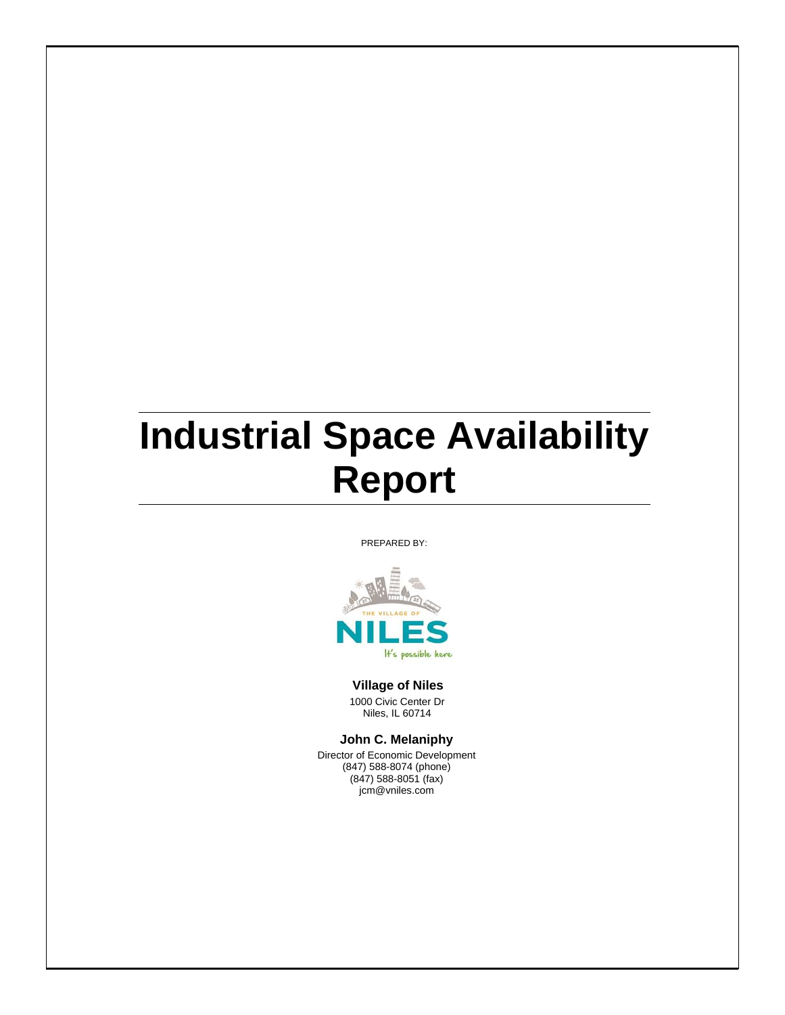## **Industrial Space Availability Report**

PREPARED BY:



## **Village of Niles**

1000 Civic Center Dr Niles, IL 60714

**John C. Melaniphy** Director of Economic Development (847) 588-8074 (phone) (847) 588-8051 (fax) jcm@vniles.com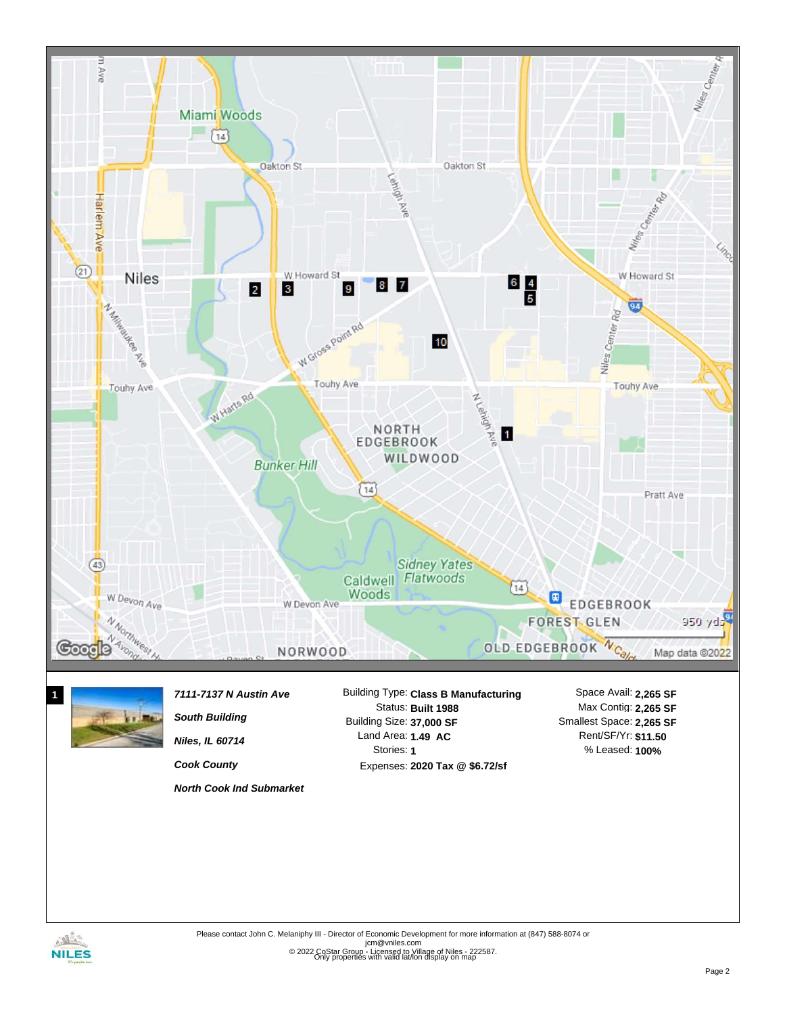



## *South Building Niles, IL 60714 Cook County*

*North Cook Ind Submarket*

Building Size: **37,000 SF 1.49 AC** Land Area: Stories: **1** Status: **Built 1988** Expenses: **2020 Tax @ \$6.72/sf**

% Leased: **100%** Rent/SF/Yr: **\$11.50** Max Contig: **2,265 SF** Smallest Space: **2,265 SF**

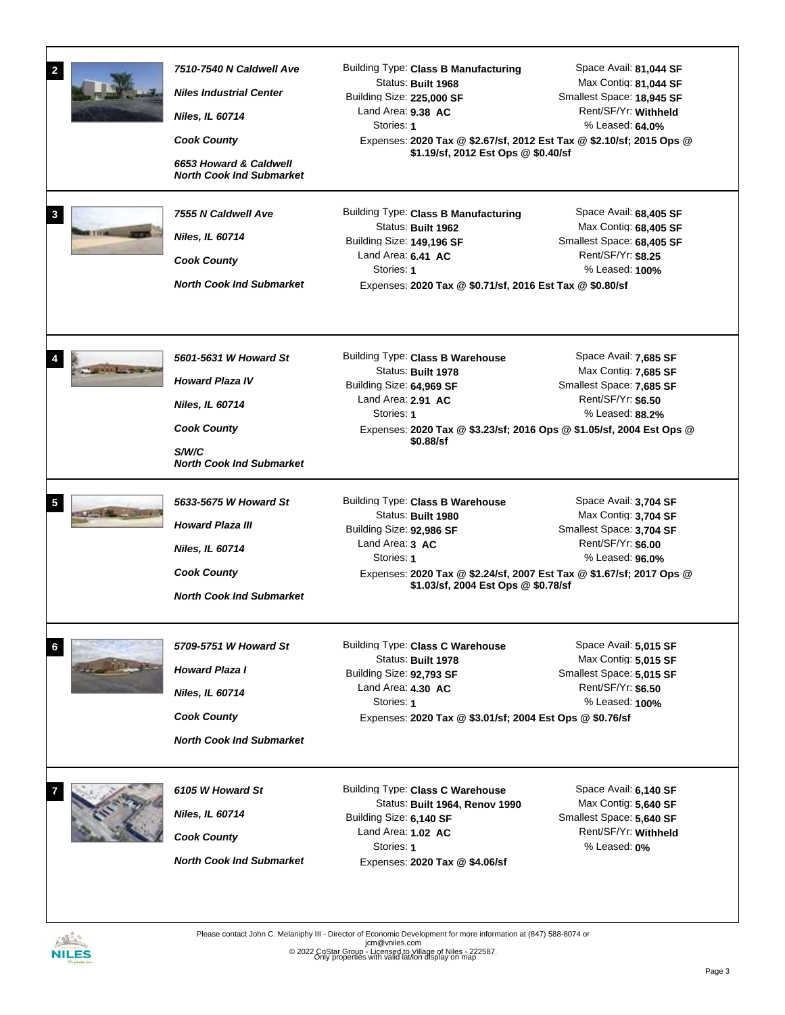| $\overline{\mathbf{c}}$<br>$\mathbf{3}$ | 7510-7540 N Caldwell Ave<br><b>Niles Industrial Center</b><br><b>Niles, IL 60714</b><br><b>Cook County</b><br>6653 Howard & Caldwell<br><b>North Cook Ind Submarket</b><br>7555 N Caldwell Ave<br><b>Niles, IL 60714</b><br><b>Cook County</b><br><b>North Cook Ind Submarket</b> | Building Type: Class B Manufacturing<br>Status: Built 1968<br>Building Size: 225,000 SF<br>Land Area: 9.38 AC<br>Stories: 1<br>Expenses: 2020 Tax @ \$2.67/sf, 2012 Est Tax @ \$2.10/sf; 2015 Ops @<br>\$1.19/sf, 2012 Est Ops @ \$0.40/sf<br>Building Type: Class B Manufacturing<br>Status: Built 1962<br>Building Size: 149,196 SF<br>Land Area: 6.41 AC<br>Stories: 1<br>Expenses: 2020 Tax @ \$0.71/sf, 2016 Est Tax @ \$0.80/sf | Space Avail: 81,044 SF<br>Max Contig: 81,044 SF<br>Smallest Space: 18.945 SF<br>Rent/SF/Yr: Withheld<br>% Leased: 64.0%<br>Space Avail: 68,405 SF<br>Max Contig: 68,405 SF<br>Smallest Space: 68,405 SF<br>Rent/SF/Yr: \$8.25<br>% Leased: 100% |
|-----------------------------------------|-----------------------------------------------------------------------------------------------------------------------------------------------------------------------------------------------------------------------------------------------------------------------------------|---------------------------------------------------------------------------------------------------------------------------------------------------------------------------------------------------------------------------------------------------------------------------------------------------------------------------------------------------------------------------------------------------------------------------------------|-------------------------------------------------------------------------------------------------------------------------------------------------------------------------------------------------------------------------------------------------|
|                                         | 5601-5631 W Howard St<br><b>Howard Plaza IV</b><br><b>Niles, IL 60714</b><br><b>Cook County</b><br>S/W/C<br><b>North Cook Ind Submarket</b>                                                                                                                                       | Building Type: Class B Warehouse<br>Status: Built 1978<br>Building Size: 64,969 SF<br>Land Area: 2.91 AC<br>Stories: 1<br>Expenses: 2020 Tax @ \$3.23/sf; 2016 Ops @ \$1.05/sf, 2004 Est Ops @<br>\$0.88/sf                                                                                                                                                                                                                           | Space Avail: 7,685 SF<br>Max Contig: 7,685 SF<br>Smallest Space: 7,685 SF<br>Rent/SF/Yr: \$6.50<br>% Leased: 88.2%                                                                                                                              |
| 5                                       | 5633-5675 W Howard St<br><b>Howard Plaza III</b><br><b>Niles, IL 60714</b><br><b>Cook County</b><br><b>North Cook Ind Submarket</b>                                                                                                                                               | Building Type: Class B Warehouse<br>Status: Built 1980<br>Building Size: 92,986 SF<br>Land Area: 3 AC<br>Stories: 1<br>Expenses: 2020 Tax @ \$2.24/sf, 2007 Est Tax @ \$1.67/sf; 2017 Ops @<br>\$1.03/sf, 2004 Est Ops @ \$0.78/sf                                                                                                                                                                                                    | Space Avail: 3,704 SF<br>Max Contig: 3,704 SF<br>Smallest Space: 3,704 SF<br>Rent/SF/Yr: \$6.00<br>% Leased: <b>96.0%</b>                                                                                                                       |
| 6                                       | 5709-5751 W Howard St<br><b>Howard Plaza I</b><br><b>Niles, IL 60714</b><br><b>Cook County</b><br><b>North Cook Ind Submarket</b>                                                                                                                                                 | Building Type: Class C Warehouse<br>Status: Built 1978<br>Building Size: 92,793 SF<br>Land Area: 4.30 AC<br>Stories: 1<br>Expenses: 2020 Tax @ \$3.01/sf; 2004 Est Ops @ \$0.76/sf                                                                                                                                                                                                                                                    | Space Avail: 5,015 SF<br>Max Contig: 5,015 SF<br>Smallest Space: 5,015 SF<br>Rent/SF/Yr: \$6.50<br>% Leased: 100%                                                                                                                               |
|                                         | 6105 W Howard St<br><b>Niles, IL 60714</b><br><b>Cook County</b><br><b>North Cook Ind Submarket</b>                                                                                                                                                                               | Building Type: Class C Warehouse<br>Status: Built 1964, Renov 1990<br>Building Size: 6,140 SF<br>Land Area: 1.02 AC<br>Stories: 1<br>Expenses: 2020 Tax @ \$4.06/sf                                                                                                                                                                                                                                                                   | Space Avail: 6,140 SF<br>Max Contig: 5,640 SF<br>Smallest Space: 5,640 SF<br>Rent/SF/Yr: Withheld<br>% Leased: 0%                                                                                                                               |

**NILES** 

Please contact John C. Melaniphy III - Director of Economic Development for more information at (847) 588-8074 or<br>jcm@vniles.com<br>© 2022 CoStar Group - Licensed to Village of Niles - 222587.

Only properties with valid lat/lon display on map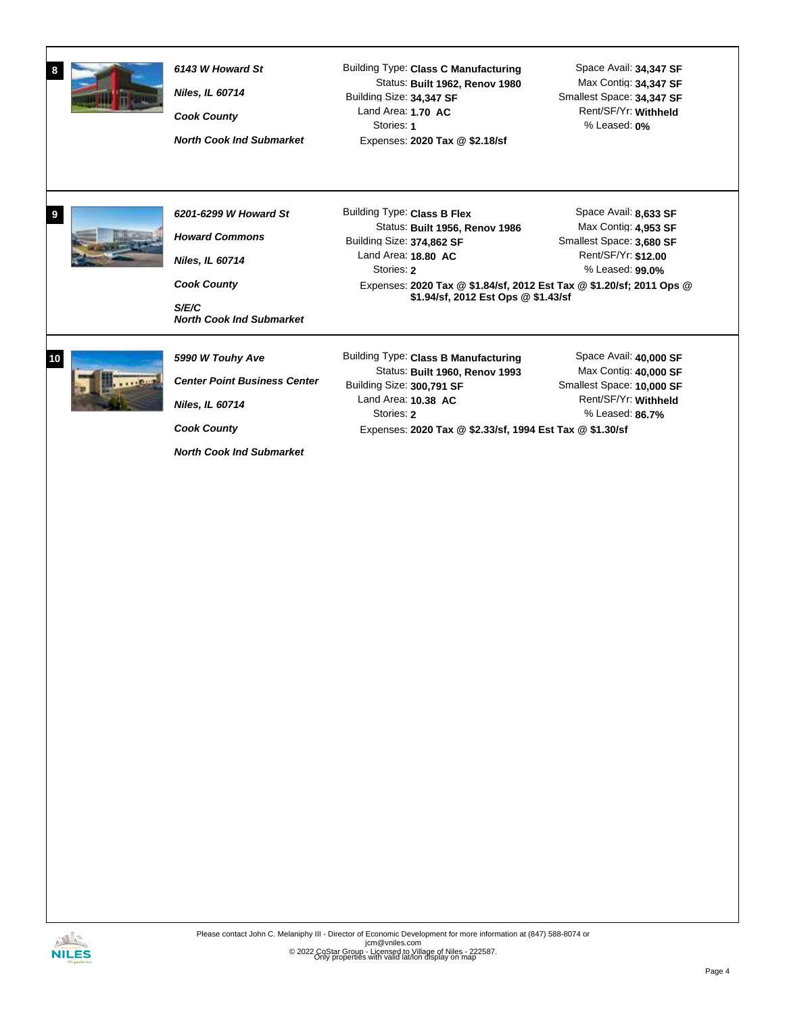| 6143 W Howard St<br><b>Niles, IL 60714</b><br><b>Cook County</b><br><b>North Cook Ind Submarket</b> | Building Type: Class C Manufacturing<br>Status: Built 1962, Renov 1980<br>Building Size: 34,347 SF<br>Land Area: $1.70$ AC<br>Stories: 1<br>Expenses: 2020 Tax @ \$2.18/sf | Space Avail: 34,347 SF<br>Max Contig: 34,347 SF<br>Smallest Space: 34,347 SF<br>Rent/SF/Yr: Withheld<br>% Leased: 0% |  |  |  |  |
|-----------------------------------------------------------------------------------------------------|----------------------------------------------------------------------------------------------------------------------------------------------------------------------------|----------------------------------------------------------------------------------------------------------------------|--|--|--|--|
| 6201-6299 W Howard St                                                                               | Building Type: Class B Flex                                                                                                                                                | Space Avail: 8,633 SF                                                                                                |  |  |  |  |
| <b>Howard Commons</b>                                                                               | Status: Built 1956, Renov 1986<br>Building Size: 374,862 SF                                                                                                                | Max Contig: 4,953 SF<br>Smallest Space: 3,680 SF                                                                     |  |  |  |  |
| <b>Niles. IL 60714</b>                                                                              | Land Area: 18.80 AC<br>Stories: 2                                                                                                                                          | Rent/SF/Yr: \$12.00<br>% Leased: 99.0%                                                                               |  |  |  |  |
| <b>Cook County</b>                                                                                  | Expenses: 2020 Tax @ \$1.84/sf, 2012 Est Tax @ \$1.20/sf; 2011 Ops @<br>\$1.94/sf, 2012 Est Ops @ \$1.43/sf                                                                |                                                                                                                      |  |  |  |  |
| S/E/C<br><b>North Cook Ind Submarket</b>                                                            |                                                                                                                                                                            |                                                                                                                      |  |  |  |  |
| 5990 W Touhy Ave                                                                                    | Building Type: Class B Manufacturing                                                                                                                                       | Space Avail: 40,000 SF                                                                                               |  |  |  |  |
| <b>Center Point Business Center</b>                                                                 | Status: Built 1960, Renov 1993<br>Building Size: 300,791 SF                                                                                                                | Max Contig: 40,000 SF<br>Smallest Space: 10,000 SF                                                                   |  |  |  |  |
| $Nilac$ II $6071A$                                                                                  | Land Area: 10.38 AC                                                                                                                                                        | Rent/SF/Yr: Withheld                                                                                                 |  |  |  |  |

Stories: **2**

Expenses: **2020 Tax @ \$2.33/sf, 1994 Est Tax @ \$1.30/sf**

*Niles, IL 60714 Cook County*

*North Cook Ind Submarket*



**8**

**9**

**10**

% Leased: **86.7%**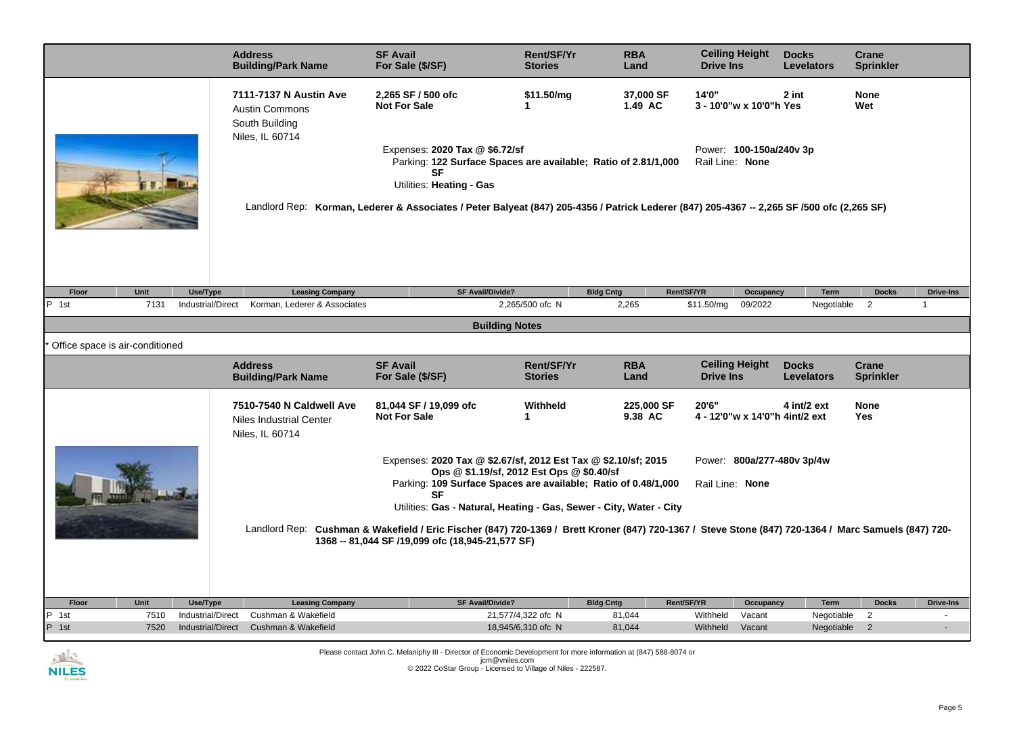|                                                                                                                                                      | <b>Address</b><br><b>Building/Park Name</b>                                                                                                                            | <b>SF Avail</b><br>For Sale (\$/SF)                                                                                                                        | <b>Rent/SF/Yr</b><br><b>Stories</b>       | <b>RBA</b><br>Land    | <b>Ceiling Height</b><br><b>Drive Ins</b>                                      | <b>Docks</b><br><b>Levelators</b> | <b>Crane</b><br><b>Sprinkler</b> |                  |
|------------------------------------------------------------------------------------------------------------------------------------------------------|------------------------------------------------------------------------------------------------------------------------------------------------------------------------|------------------------------------------------------------------------------------------------------------------------------------------------------------|-------------------------------------------|-----------------------|--------------------------------------------------------------------------------|-----------------------------------|----------------------------------|------------------|
|                                                                                                                                                      | 7111-7137 N Austin Ave<br><b>Austin Commons</b><br>South Building<br>Niles, IL 60714                                                                                   | 2,265 SF / 500 ofc<br><b>Not For Sale</b><br>Expenses: 2020 Tax @ \$6.72/sf<br>Parking: 122 Surface Spaces are available; Ratio of 2.81/1,000<br><b>SF</b> | \$11.50/mg<br>1                           | 37,000 SF<br>1.49 AC  | 14'0"<br>3 - 10'0"w x 10'0"h Yes<br>Power: 100-150a/240v 3p<br>Rail Line: None | 2 int                             | <b>None</b><br>Wet               |                  |
|                                                                                                                                                      | Utilities: Heating - Gas<br>Landlord Rep: Korman, Lederer & Associates / Peter Balyeat (847) 205-4356 / Patrick Lederer (847) 205-4367 -- 2,265 SF /500 ofc (2,265 SF) |                                                                                                                                                            |                                           |                       |                                                                                |                                   |                                  |                  |
| Unit<br>Floor<br>Use/Type                                                                                                                            | <b>Leasing Company</b>                                                                                                                                                 | <b>SF Avail/Divide?</b>                                                                                                                                    |                                           | <b>Bldg Cntg</b>      | Rent/SF/YR                                                                     | Occupancy<br>Term                 | <b>Docks</b>                     | <b>Drive-Ins</b> |
| 7131<br>Industrial/Direct<br>P<br>1st                                                                                                                | Korman, Lederer & Associates                                                                                                                                           |                                                                                                                                                            | 2,265/500 ofc N                           | 2,265                 | \$11.50/mg<br>09/2022                                                          | Negotiable                        | 2                                | 1                |
|                                                                                                                                                      |                                                                                                                                                                        | <b>Building Notes</b>                                                                                                                                      |                                           |                       |                                                                                |                                   |                                  |                  |
| Office space is air-conditioned                                                                                                                      |                                                                                                                                                                        |                                                                                                                                                            |                                           |                       |                                                                                |                                   |                                  |                  |
|                                                                                                                                                      | <b>Address</b><br><b>Building/Park Name</b>                                                                                                                            | <b>SF Avail</b><br>For Sale (\$/SF)                                                                                                                        | <b>Rent/SF/Yr</b><br><b>Stories</b>       | <b>RBA</b><br>Land    | <b>Ceiling Height</b><br><b>Drive Ins</b>                                      | <b>Docks</b><br><b>Levelators</b> | Crane<br><b>Sprinkler</b>        |                  |
|                                                                                                                                                      | 7510-7540 N Caldwell Ave<br>Niles Industrial Center<br>Niles, IL 60714                                                                                                 | 81,044 SF / 19,099 ofc<br><b>Not For Sale</b>                                                                                                              | Withheld<br>1                             | 225,000 SF<br>9.38 AC | 20'6"<br>4 - 12'0"w x 14'0"h 4int/2 ext                                        | 4 int/2 ext                       | <b>None</b><br>Yes               |                  |
|                                                                                                                                                      |                                                                                                                                                                        | Expenses: 2020 Tax @ \$2.67/sf, 2012 Est Tax @ \$2.10/sf; 2015<br>Parking: 109 Surface Spaces are available; Ratio of 0.48/1,000<br><b>SF</b>              | Ops @ \$1.19/sf, 2012 Est Ops @ \$0.40/sf |                       | Power: 800a/277-480v 3p/4w<br>Rail Line: None                                  |                                   |                                  |                  |
| Utilities: Gas - Natural, Heating - Gas, Sewer - City, Water - City                                                                                  |                                                                                                                                                                        |                                                                                                                                                            |                                           |                       |                                                                                |                                   |                                  |                  |
| Landlord Rep: Cushman & Wakefield / Eric Fischer (847) 720-1369 / Brett Kroner (847) 720-1367 / Steve Stone (847) 720-1364 / Marc Samuels (847) 720- |                                                                                                                                                                        |                                                                                                                                                            |                                           |                       |                                                                                |                                   |                                  |                  |
| 1368 -- 81,044 SF /19,099 ofc (18,945-21,577 SF)                                                                                                     |                                                                                                                                                                        |                                                                                                                                                            |                                           |                       |                                                                                |                                   |                                  |                  |
|                                                                                                                                                      |                                                                                                                                                                        |                                                                                                                                                            |                                           |                       |                                                                                |                                   |                                  |                  |
| Floor<br>Unit<br>Use/Type                                                                                                                            | <b>Leasing Company</b>                                                                                                                                                 | <b>SF Avail/Divide?</b>                                                                                                                                    |                                           | <b>Bldg Cntg</b>      | Rent/SF/YR                                                                     | Term<br>Occupancy                 | <b>Docks</b>                     | <b>Drive-Ins</b> |
| 7510<br>Industrial/Direct<br>P 1st                                                                                                                   | Cushman & Wakefield                                                                                                                                                    |                                                                                                                                                            | 21,577/4,322 ofc N                        | 81,044                | Withheld<br>Vacant                                                             | Negotiable                        | $\overline{2}$                   |                  |
| P 1st<br>7520<br>Industrial/Direct                                                                                                                   | Cushman & Wakefield                                                                                                                                                    |                                                                                                                                                            | 18,945/6,310 ofc N                        | 81,044                | Withheld<br>Vacant                                                             | Negotiable                        | $\overline{2}$                   |                  |



Please contact John C. Melaniphy III - Director of Economic Development for more information at (847) 588-8074 or<br>jcm@vniles.com<br>© 2022 CoStar Group - Licensed to Village of Niles - 222587.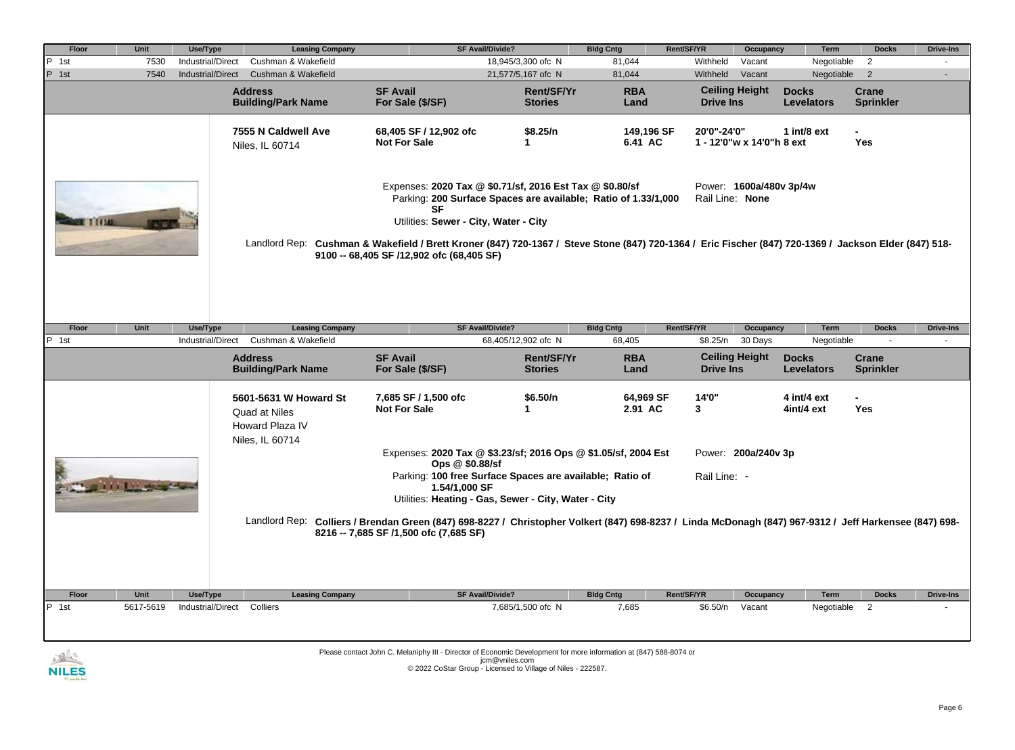| Floor | Unit                 | Use/Type                 | <b>Leasing Company</b>                                                       | <b>SF Avail/Divide?</b>                                                                                                                                                                            |                                     | <b>Bldg Cntg</b>      | Rent/SF/YR       | Occupancy                 | <b>Term</b>                       | <b>Docks</b>              | <b>Drive-Ins</b> |
|-------|----------------------|--------------------------|------------------------------------------------------------------------------|----------------------------------------------------------------------------------------------------------------------------------------------------------------------------------------------------|-------------------------------------|-----------------------|------------------|---------------------------|-----------------------------------|---------------------------|------------------|
| P 1st | 7530                 | Industrial/Direct        | Cushman & Wakefield                                                          |                                                                                                                                                                                                    | 18,945/3,300 ofc N                  | 81,044                | Withheld         | Vacant                    | Negotiable                        | $\overline{2}$            | $\blacksquare$   |
| P 1st | 7540                 | <b>Industrial/Direct</b> | Cushman & Wakefield                                                          |                                                                                                                                                                                                    | 21,577/5,167 ofc N                  | 81,044                | Withheld         | Vacant                    | Negotiable                        | $\overline{2}$            |                  |
|       |                      |                          | <b>Address</b><br><b>Building/Park Name</b>                                  | <b>SF Avail</b><br>For Sale (\$/SF)                                                                                                                                                                | <b>Rent/SF/Yr</b><br><b>Stories</b> | <b>RBA</b><br>Land    | <b>Drive Ins</b> | <b>Ceiling Height</b>     | <b>Docks</b><br><b>Levelators</b> | Crane<br><b>Sprinkler</b> |                  |
|       |                      |                          | 7555 N Caldwell Ave<br>Niles, IL 60714                                       | 68,405 SF / 12,902 ofc<br><b>Not For Sale</b>                                                                                                                                                      | \$8.25/n<br>$\mathbf 1$             | 149,196 SF<br>6.41 AC | 20'0"-24'0"      | 1 - 12'0"w x 14'0"h 8 ext | 1 int/ $8$ ext                    | <b>Yes</b>                |                  |
| THE   |                      |                          |                                                                              | Expenses: 2020 Tax @ \$0.71/sf, 2016 Est Tax @ \$0.80/sf<br>Parking: 200 Surface Spaces are available; Ratio of 1.33/1,000<br><b>SF</b><br>Utilities: Sewer - City, Water - City                   |                                     |                       | Rail Line: None  | Power: 1600a/480v 3p/4w   |                                   |                           |                  |
|       |                      |                          |                                                                              | Landlord Rep: Cushman & Wakefield / Brett Kroner (847) 720-1367 / Steve Stone (847) 720-1364 / Eric Fischer (847) 720-1369 / Jackson Elder (847) 518-<br>9100 -- 68,405 SF /12,902 ofc (68,405 SF) |                                     |                       |                  |                           |                                   |                           |                  |
| Floor | Unit                 | Use/Type                 | <b>Leasing Company</b>                                                       | <b>SF Avail/Divide?</b>                                                                                                                                                                            |                                     | <b>Bldg Cntg</b>      | Rent/SF/YR       | Occupancy                 | <b>Term</b>                       | <b>Docks</b>              | <b>Drive-Ins</b> |
| P 1st |                      | Industrial/Direct        | Cushman & Wakefield                                                          |                                                                                                                                                                                                    | 68,405/12,902 ofc N                 | 68,405                | \$8.25/n         | 30 Days                   | Negotiable                        | ÷.                        |                  |
|       |                      |                          | <b>Address</b><br><b>Building/Park Name</b>                                  | <b>SF Avail</b><br>For Sale (\$/SF)                                                                                                                                                                | <b>Rent/SF/Yr</b><br><b>Stories</b> | <b>RBA</b><br>Land    | <b>Drive Ins</b> | <b>Ceiling Height</b>     | <b>Docks</b><br><b>Levelators</b> | Crane<br><b>Sprinkler</b> |                  |
|       |                      |                          | 5601-5631 W Howard St<br>Quad at Niles<br>Howard Plaza IV<br>Niles, IL 60714 | 7,685 SF / 1,500 ofc<br><b>Not For Sale</b>                                                                                                                                                        | \$6.50/n<br>1                       | 64.969 SF<br>2.91 AC  | 14'0"<br>3       |                           | 4 int/4 ext<br>4int/4 ext         | <b>Yes</b>                |                  |
|       |                      |                          |                                                                              | Expenses: 2020 Tax @ \$3.23/sf; 2016 Ops @ \$1.05/sf, 2004 Est                                                                                                                                     |                                     |                       |                  | Power: 200a/240v 3p       |                                   |                           |                  |
|       |                      |                          |                                                                              | Ops @ \$0.88/sf                                                                                                                                                                                    |                                     |                       |                  |                           |                                   |                           |                  |
|       | Il I die in the mann |                          |                                                                              | Parking: 100 free Surface Spaces are available; Ratio of<br>1.54/1.000 SF<br>Utilities: Heating - Gas, Sewer - City, Water - City                                                                  |                                     |                       | Rail Line: -     |                           |                                   |                           |                  |
|       |                      |                          |                                                                              | Landlord Rep: Colliers / Brendan Green (847) 698-8227 / Christopher Volkert (847) 698-8237 / Linda McDonagh (847) 967-9312 / Jeff Harkensee (847) 698-<br>8216 -- 7,685 SF /1,500 ofc (7,685 SF)   |                                     |                       |                  |                           |                                   |                           |                  |
| Floor | Unit                 | Use/Type                 | <b>Leasing Company</b>                                                       | <b>SF Avail/Divide?</b>                                                                                                                                                                            |                                     | <b>Bldg Cntg</b>      | Rent/SF/YR       |                           | <b>Term</b>                       | <b>Docks</b>              | <b>Drive-Ins</b> |
| P 1st | 5617-5619            | Industrial/Direct        | Colliers                                                                     |                                                                                                                                                                                                    | 7,685/1,500 ofc N                   | 7,685                 | \$6.50/n         | Occupancy<br>Vacant       | Negotiable                        | $\overline{2}$            |                  |
|       |                      |                          |                                                                              |                                                                                                                                                                                                    |                                     |                       |                  |                           |                                   |                           |                  |



Please contact John C. Melaniphy III - Director of Economic Development for more information at (847) 588-8074 or<br>jcm@vniles.com<br>© 2022 CoStar Group - Licensed to Village of Niles - 222587.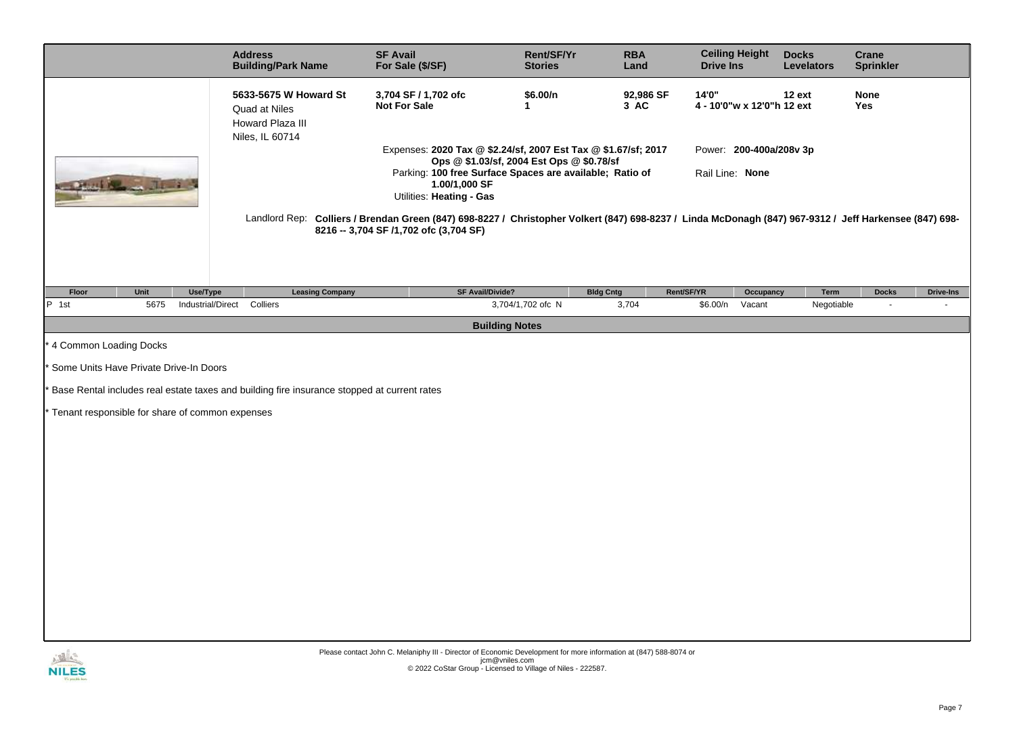|                                                                                                                                                                                                                                                                                                                                                                                                                                                            | <b>Address</b><br><b>Building/Park Name</b>                                   | <b>SF Avail</b><br>For Sale (\$/SF)                                                                                                 | Rent/SF/Yr<br><b>Stories</b> | <b>RBA</b><br>Land        | <b>Ceiling Height</b><br><b>Drive Ins</b> |                     | <b>Docks</b><br><b>Levelators</b> | Crane<br><b>Sprinkler</b>                |                  |  |  |
|------------------------------------------------------------------------------------------------------------------------------------------------------------------------------------------------------------------------------------------------------------------------------------------------------------------------------------------------------------------------------------------------------------------------------------------------------------|-------------------------------------------------------------------------------|-------------------------------------------------------------------------------------------------------------------------------------|------------------------------|---------------------------|-------------------------------------------|---------------------|-----------------------------------|------------------------------------------|------------------|--|--|
|                                                                                                                                                                                                                                                                                                                                                                                                                                                            | 5633-5675 W Howard St<br>Quad at Niles<br>Howard Plaza III<br>Niles, IL 60714 | 3,704 SF / 1,702 ofc<br><b>Not For Sale</b>                                                                                         | \$6.00/n<br>$\mathbf 1$      | 92,986 SF<br>3 AC         | 14'0"<br>4 - 10'0"w x 12'0"h 12 ext       |                     | 12 ext                            | <b>None</b><br>Yes                       |                  |  |  |
| Expenses: 2020 Tax @ \$2.24/sf, 2007 Est Tax @ \$1.67/sf; 2017<br>Power: 200-400a/208v 3p<br>Ops @ \$1.03/sf, 2004 Est Ops @ \$0.78/sf<br>Parking: 100 free Surface Spaces are available; Ratio of<br>Rail Line: None<br>1.00/1,000 SF<br>the the state of the state<br>Utilities: Heating - Gas<br>Landlord Rep: Colliers / Brendan Green (847) 698-8227 / Christopher Volkert (847) 698-8237 / Linda McDonagh (847) 967-9312 / Jeff Harkensee (847) 698- |                                                                               |                                                                                                                                     |                              |                           |                                           |                     |                                   |                                          |                  |  |  |
|                                                                                                                                                                                                                                                                                                                                                                                                                                                            | 8216 -- 3,704 SF /1,702 ofc (3,704 SF)                                        |                                                                                                                                     |                              |                           |                                           |                     |                                   |                                          |                  |  |  |
| Floor<br>Unit<br>Use/Type<br>P 1st<br>5675                                                                                                                                                                                                                                                                                                                                                                                                                 | <b>Leasing Company</b><br>Industrial/Direct Colliers                          | <b>SF Avail/Divide?</b>                                                                                                             | 3,704/1,702 ofc N            | <b>Bldg Cntg</b><br>3,704 | Rent/SF/YR<br>\$6.00/n                    | Occupancy<br>Vacant | Term<br>Negotiable                | <b>Docks</b><br>$\overline{\phantom{a}}$ | <b>Drive-Ins</b> |  |  |
|                                                                                                                                                                                                                                                                                                                                                                                                                                                            |                                                                               | <b>Building Notes</b>                                                                                                               |                              |                           |                                           |                     |                                   |                                          |                  |  |  |
| 4 Common Loading Docks                                                                                                                                                                                                                                                                                                                                                                                                                                     |                                                                               |                                                                                                                                     |                              |                           |                                           |                     |                                   |                                          |                  |  |  |
|                                                                                                                                                                                                                                                                                                                                                                                                                                                            |                                                                               |                                                                                                                                     |                              |                           |                                           |                     |                                   |                                          |                  |  |  |
| Some Units Have Private Drive-In Doors                                                                                                                                                                                                                                                                                                                                                                                                                     |                                                                               |                                                                                                                                     |                              |                           |                                           |                     |                                   |                                          |                  |  |  |
| Base Rental includes real estate taxes and building fire insurance stopped at current rates                                                                                                                                                                                                                                                                                                                                                                |                                                                               |                                                                                                                                     |                              |                           |                                           |                     |                                   |                                          |                  |  |  |
| Tenant responsible for share of common expenses                                                                                                                                                                                                                                                                                                                                                                                                            |                                                                               |                                                                                                                                     |                              |                           |                                           |                     |                                   |                                          |                  |  |  |
|                                                                                                                                                                                                                                                                                                                                                                                                                                                            |                                                                               |                                                                                                                                     |                              |                           |                                           |                     |                                   |                                          |                  |  |  |
|                                                                                                                                                                                                                                                                                                                                                                                                                                                            |                                                                               |                                                                                                                                     |                              |                           |                                           |                     |                                   |                                          |                  |  |  |
|                                                                                                                                                                                                                                                                                                                                                                                                                                                            |                                                                               |                                                                                                                                     |                              |                           |                                           |                     |                                   |                                          |                  |  |  |
|                                                                                                                                                                                                                                                                                                                                                                                                                                                            |                                                                               |                                                                                                                                     |                              |                           |                                           |                     |                                   |                                          |                  |  |  |
| A BALL                                                                                                                                                                                                                                                                                                                                                                                                                                                     |                                                                               | Please contact John C. Melaniphy III - Director of Economic Development for more information at (847) 588-8074 or<br>jcm@vniles.com |                              |                           |                                           |                     |                                   |                                          |                  |  |  |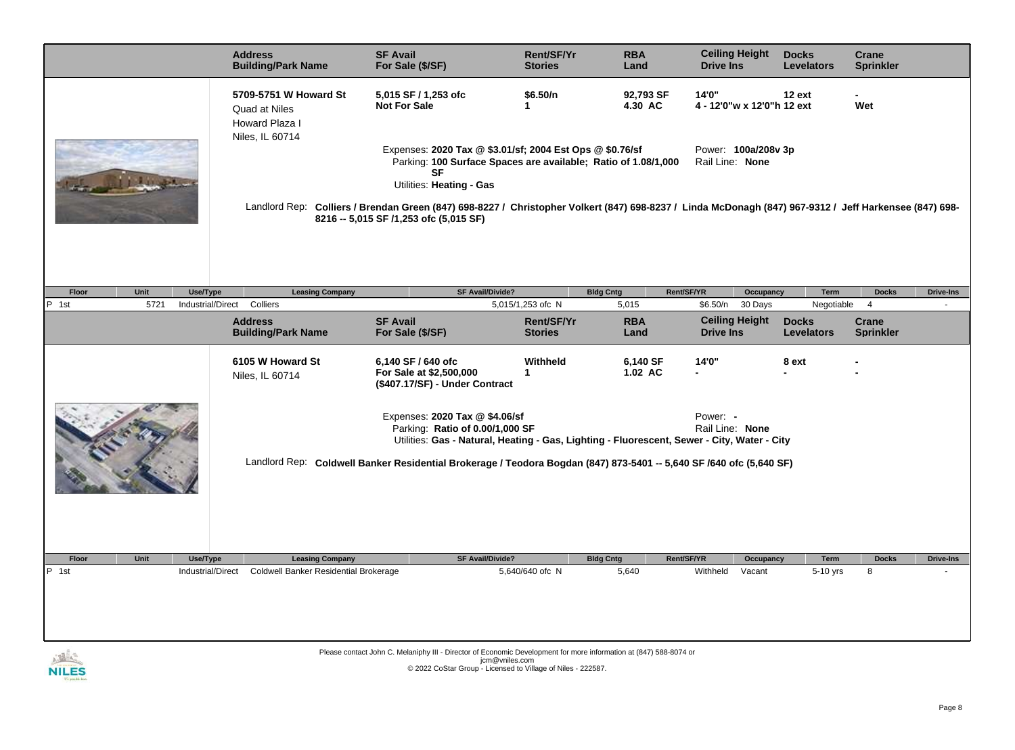| 5709-5751 W Howard St<br>5,015 SF / 1,253 ofc<br>\$6.50/n<br>92,793 SF<br>14'0"<br>12 ext<br><b>Not For Sale</b><br>4.30 AC<br>4 - 12'0"w x 12'0"h 12 ext<br>Wet<br>$\mathbf 1$<br>Quad at Niles<br>Howard Plaza I<br>Niles, IL 60714<br>Expenses: 2020 Tax @ \$3.01/sf; 2004 Est Ops @ \$0.76/sf<br>Power: 100a/208v 3p<br>Parking: 100 Surface Spaces are available; Ratio of 1.08/1,000<br>Rail Line: None<br><b>SF</b><br>Utilities: Heating - Gas<br>Landlord Rep: Colliers / Brendan Green (847) 698-8227 / Christopher Volkert (847) 698-8237 / Linda McDonagh (847) 967-9312 / Jeff Harkensee (847) 698-<br>8216 -- 5,015 SF /1,253 ofc (5,015 SF)<br>Unit<br><b>SF Avail/Divide?</b><br>Rent/SF/YR<br>Occupancy<br><b>Docks</b><br>Floor<br>Use/Type<br><b>Leasing Company</b><br><b>Bldg Cntg</b><br>Term<br>P 1st<br>5721<br><b>Industrial/Direct</b><br>Colliers<br>5,015/1,253 ofc N<br>5,015<br>\$6.50/n<br>30 Days<br>Negotiable<br>$\overline{4}$<br><b>Ceiling Height</b><br><b>SF Avail</b><br><b>Rent/SF/Yr</b><br><b>RBA</b><br><b>Docks</b><br><b>Address</b><br>Crane<br><b>Building/Park Name</b><br>For Sale (\$/SF)<br><b>Drive Ins</b><br><b>Sprinkler</b><br><b>Stories</b><br><b>Levelators</b><br>Land<br>6105 W Howard St<br>6,140 SF / 640 ofc<br><b>Withheld</b><br>6,140 SF<br>14'0"<br>8 ext<br>1.02 AC<br>For Sale at \$2,500,000<br>$\mathbf 1$<br>Niles, IL 60714<br>(\$407.17/SF) - Under Contract<br>Expenses: 2020 Tax @ \$4.06/sf<br>Power: -<br>Rail Line: None<br>Parking: Ratio of 0.00/1,000 SF<br>Utilities: Gas - Natural, Heating - Gas, Lighting - Fluorescent, Sewer - City, Water - City<br>Landlord Rep: Coldwell Banker Residential Brokerage / Teodora Bogdan (847) 873-5401 -- 5,640 SF /640 ofc (5,640 SF)<br><b>SF Avail/Divide?</b><br>Floor<br>Unit<br>Use/Type<br><b>Leasing Company</b><br><b>Bldg Cntg</b><br>Rent/SF/YR<br><b>Term</b><br><b>Docks</b><br>Occupancy<br>Coldwell Banker Residential Brokerage<br>8<br>P 1st<br>Industrial/Direct<br>5,640/640 ofc N<br>5,640<br>Withheld<br>Vacant<br>5-10 yrs | <b>Address</b><br><b>Building/Park Name</b> | <b>SF Avail</b><br>For Sale (\$/SF) | <b>Rent/SF/Yr</b><br><b>Stories</b> | <b>RBA</b><br>Land | <b>Ceiling Height</b><br><b>Drive Ins</b> | <b>Docks</b><br><b>Levelators</b> | Crane<br><b>Sprinkler</b> |                  |
|------------------------------------------------------------------------------------------------------------------------------------------------------------------------------------------------------------------------------------------------------------------------------------------------------------------------------------------------------------------------------------------------------------------------------------------------------------------------------------------------------------------------------------------------------------------------------------------------------------------------------------------------------------------------------------------------------------------------------------------------------------------------------------------------------------------------------------------------------------------------------------------------------------------------------------------------------------------------------------------------------------------------------------------------------------------------------------------------------------------------------------------------------------------------------------------------------------------------------------------------------------------------------------------------------------------------------------------------------------------------------------------------------------------------------------------------------------------------------------------------------------------------------------------------------------------------------------------------------------------------------------------------------------------------------------------------------------------------------------------------------------------------------------------------------------------------------------------------------------------------------------------------------------------------------------------------------------------------------------------------------------------------------------------------------------------------------|---------------------------------------------|-------------------------------------|-------------------------------------|--------------------|-------------------------------------------|-----------------------------------|---------------------------|------------------|
|                                                                                                                                                                                                                                                                                                                                                                                                                                                                                                                                                                                                                                                                                                                                                                                                                                                                                                                                                                                                                                                                                                                                                                                                                                                                                                                                                                                                                                                                                                                                                                                                                                                                                                                                                                                                                                                                                                                                                                                                                                                                              |                                             |                                     |                                     |                    |                                           |                                   |                           |                  |
|                                                                                                                                                                                                                                                                                                                                                                                                                                                                                                                                                                                                                                                                                                                                                                                                                                                                                                                                                                                                                                                                                                                                                                                                                                                                                                                                                                                                                                                                                                                                                                                                                                                                                                                                                                                                                                                                                                                                                                                                                                                                              |                                             |                                     |                                     |                    |                                           |                                   |                           |                  |
|                                                                                                                                                                                                                                                                                                                                                                                                                                                                                                                                                                                                                                                                                                                                                                                                                                                                                                                                                                                                                                                                                                                                                                                                                                                                                                                                                                                                                                                                                                                                                                                                                                                                                                                                                                                                                                                                                                                                                                                                                                                                              |                                             |                                     |                                     |                    |                                           |                                   |                           |                  |
|                                                                                                                                                                                                                                                                                                                                                                                                                                                                                                                                                                                                                                                                                                                                                                                                                                                                                                                                                                                                                                                                                                                                                                                                                                                                                                                                                                                                                                                                                                                                                                                                                                                                                                                                                                                                                                                                                                                                                                                                                                                                              |                                             |                                     |                                     |                    |                                           |                                   |                           | <b>Drive-Ins</b> |
|                                                                                                                                                                                                                                                                                                                                                                                                                                                                                                                                                                                                                                                                                                                                                                                                                                                                                                                                                                                                                                                                                                                                                                                                                                                                                                                                                                                                                                                                                                                                                                                                                                                                                                                                                                                                                                                                                                                                                                                                                                                                              |                                             |                                     |                                     |                    |                                           |                                   |                           |                  |
|                                                                                                                                                                                                                                                                                                                                                                                                                                                                                                                                                                                                                                                                                                                                                                                                                                                                                                                                                                                                                                                                                                                                                                                                                                                                                                                                                                                                                                                                                                                                                                                                                                                                                                                                                                                                                                                                                                                                                                                                                                                                              |                                             |                                     |                                     |                    |                                           |                                   |                           |                  |
|                                                                                                                                                                                                                                                                                                                                                                                                                                                                                                                                                                                                                                                                                                                                                                                                                                                                                                                                                                                                                                                                                                                                                                                                                                                                                                                                                                                                                                                                                                                                                                                                                                                                                                                                                                                                                                                                                                                                                                                                                                                                              |                                             |                                     |                                     |                    |                                           |                                   |                           |                  |
|                                                                                                                                                                                                                                                                                                                                                                                                                                                                                                                                                                                                                                                                                                                                                                                                                                                                                                                                                                                                                                                                                                                                                                                                                                                                                                                                                                                                                                                                                                                                                                                                                                                                                                                                                                                                                                                                                                                                                                                                                                                                              |                                             |                                     |                                     |                    |                                           |                                   |                           |                  |
|                                                                                                                                                                                                                                                                                                                                                                                                                                                                                                                                                                                                                                                                                                                                                                                                                                                                                                                                                                                                                                                                                                                                                                                                                                                                                                                                                                                                                                                                                                                                                                                                                                                                                                                                                                                                                                                                                                                                                                                                                                                                              |                                             |                                     |                                     |                    |                                           |                                   |                           |                  |
|                                                                                                                                                                                                                                                                                                                                                                                                                                                                                                                                                                                                                                                                                                                                                                                                                                                                                                                                                                                                                                                                                                                                                                                                                                                                                                                                                                                                                                                                                                                                                                                                                                                                                                                                                                                                                                                                                                                                                                                                                                                                              |                                             |                                     |                                     |                    |                                           |                                   |                           | <b>Drive-Ins</b> |
|                                                                                                                                                                                                                                                                                                                                                                                                                                                                                                                                                                                                                                                                                                                                                                                                                                                                                                                                                                                                                                                                                                                                                                                                                                                                                                                                                                                                                                                                                                                                                                                                                                                                                                                                                                                                                                                                                                                                                                                                                                                                              |                                             |                                     |                                     |                    |                                           |                                   |                           |                  |
| Please contact John C. Melaniphy III - Director of Economic Development for more information at (847) 588-8074 or                                                                                                                                                                                                                                                                                                                                                                                                                                                                                                                                                                                                                                                                                                                                                                                                                                                                                                                                                                                                                                                                                                                                                                                                                                                                                                                                                                                                                                                                                                                                                                                                                                                                                                                                                                                                                                                                                                                                                            |                                             |                                     |                                     |                    |                                           |                                   |                           |                  |



jcm@vniles.com<br>© 2022 CoStar Group - Licensed to Village of Niles - 222587.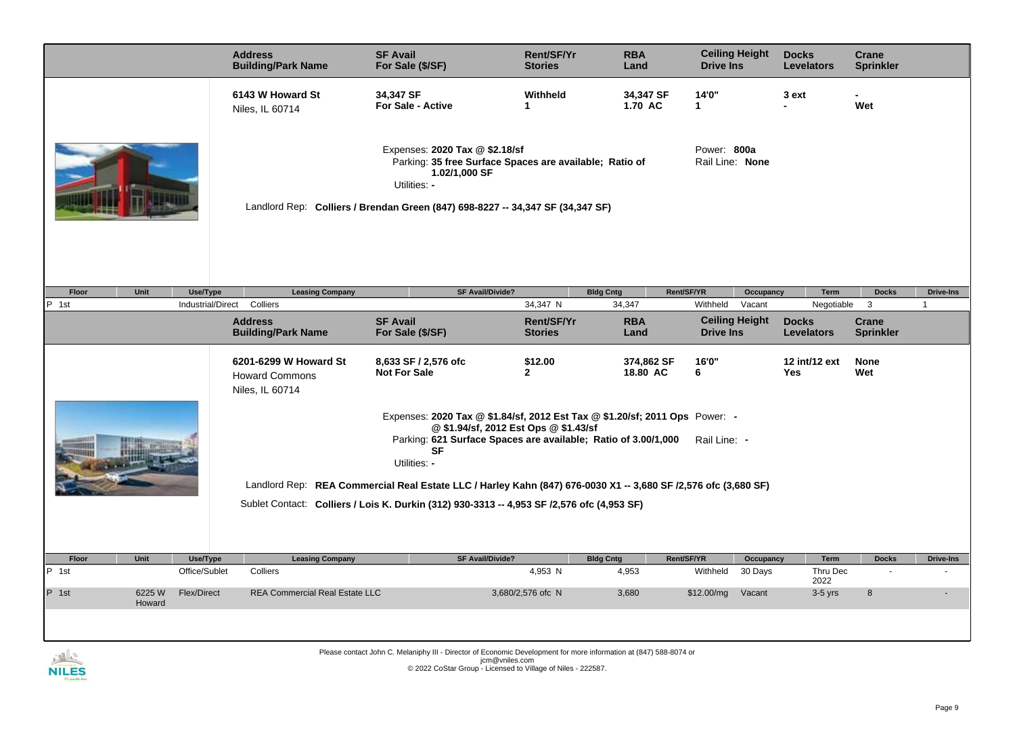|                          |                          | <b>Address</b><br><b>Building/Park Name</b>                       | <b>SF Avail</b><br>For Sale (\$/SF)                                                                                                                                                                                 | Rent/SF/Yr<br><b>Stories</b>        | <b>RBA</b><br>Land     | <b>Drive Ins</b>      | <b>Ceiling Height</b> | <b>Docks</b><br><b>Levelators</b> | Crane<br><b>Sprinkler</b> |                  |
|--------------------------|--------------------------|-------------------------------------------------------------------|---------------------------------------------------------------------------------------------------------------------------------------------------------------------------------------------------------------------|-------------------------------------|------------------------|-----------------------|-----------------------|-----------------------------------|---------------------------|------------------|
|                          |                          | 6143 W Howard St<br>Niles, IL 60714                               | 34,347 SF<br><b>For Sale - Active</b>                                                                                                                                                                               | Withheld<br>$\mathbf{1}$            | 34,347 SF<br>1.70 AC   | 14'0"<br>$\mathbf{1}$ |                       | 3 ext                             | Wet                       |                  |
|                          |                          |                                                                   | Expenses: 2020 Tax @ \$2.18/sf<br>Parking: 35 free Surface Spaces are available; Ratio of<br>1.02/1,000 SF<br>Utilities: -<br>Landlord Rep: Colliers / Brendan Green (847) 698-8227 -- 34,347 SF (34,347 SF)        |                                     |                        | Power: 800a           | Rail Line: None       |                                   |                           |                  |
| Floor<br>Unit            | Use/Type                 | <b>Leasing Company</b>                                            | <b>SF Avail/Divide?</b>                                                                                                                                                                                             |                                     | <b>Bldg Cntg</b>       | Rent/SF/YR            | Occupancy             | <b>Term</b>                       | <b>Docks</b>              | <b>Drive-Ins</b> |
| P<br>1st                 | <b>Industrial/Direct</b> | Colliers                                                          |                                                                                                                                                                                                                     | 34,347 N                            | 34,347                 | Withheld              | Vacant                | Negotiable                        | $\mathbf{3}$              | $\mathbf{1}$     |
|                          |                          | <b>Address</b><br><b>Building/Park Name</b>                       | <b>SF Avail</b><br>For Sale (\$/SF)                                                                                                                                                                                 | <b>Rent/SF/Yr</b><br><b>Stories</b> | <b>RBA</b><br>Land     | <b>Drive Ins</b>      | <b>Ceiling Height</b> | <b>Docks</b><br><b>Levelators</b> | Crane<br><b>Sprinkler</b> |                  |
|                          |                          | 6201-6299 W Howard St<br><b>Howard Commons</b><br>Niles, IL 60714 | 8,633 SF / 2,576 ofc<br><b>Not For Sale</b>                                                                                                                                                                         | \$12.00<br>$\mathbf{2}$             | 374,862 SF<br>18.80 AC | 16'0"<br>6            |                       | 12 int/12 ext<br><b>Yes</b>       | <b>None</b><br>Wet        |                  |
|                          |                          |                                                                   | Expenses: 2020 Tax @ \$1.84/sf, 2012 Est Tax @ \$1.20/sf; 2011 Ops Power: -<br>@ \$1.94/sf, 2012 Est Ops @ \$1.43/sf<br>Parking: 621 Surface Spaces are available; Ratio of 3.00/1,000<br><b>SF</b><br>Utilities: - |                                     |                        | Rail Line: -          |                       |                                   |                           |                  |
|                          |                          |                                                                   | Landlord Rep: REA Commercial Real Estate LLC / Harley Kahn (847) 676-0030 X1 -- 3,680 SF /2,576 ofc (3,680 SF)<br>Sublet Contact: Colliers / Lois K. Durkin (312) 930-3313 -- 4,953 SF /2,576 ofc (4,953 SF)        |                                     |                        |                       |                       |                                   |                           |                  |
| Floor<br>Unit            | Use/Type                 | <b>Leasing Company</b>                                            | <b>SF Avail/Divide?</b>                                                                                                                                                                                             |                                     | <b>Bldg Cntg</b>       | Rent/SF/YR            | Occupancy             | <b>Term</b>                       | <b>Docks</b>              | <b>Drive-Ins</b> |
| P 1st                    | Office/Sublet            | Colliers                                                          |                                                                                                                                                                                                                     | 4,953 N                             | 4,953                  | Withheld              | 30 Days               | Thru Dec<br>2022                  |                           |                  |
| P 1st<br>6225W<br>Howard | Flex/Direct              | <b>REA Commercial Real Estate LLC</b>                             |                                                                                                                                                                                                                     | 3,680/2,576 of cN                   | 3,680                  | \$12.00/mg            | Vacant                | $3-5$ yrs                         | 8                         |                  |
|                          |                          |                                                                   | Please contact John C. Melaniphy III - Director of Economic Development for more information at (847) 588-8074 or<br>icm@vniles.com                                                                                 |                                     |                        |                       |                       |                                   |                           |                  |



jcm@vniles.com<br>© 2022 CoStar Group - Licensed to Village of Niles - 222587.